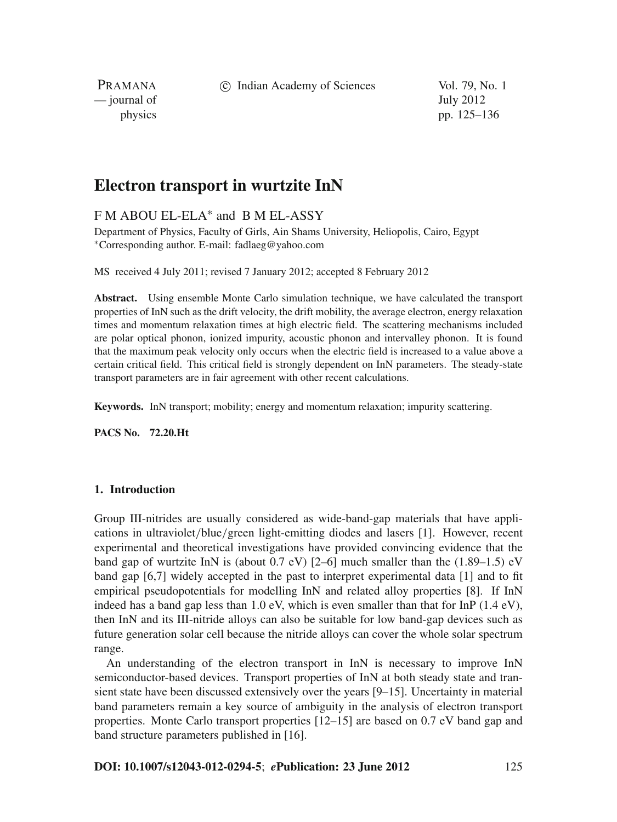c Indian Academy of Sciences Vol. 79, No. 1

PRAMANA — journal of July 2012

physics pp. 125–136

# **Electron transport in wurtzite InN**

# F M ABOU EL-ELA<sup>∗</sup> and B M EL-ASSY

Department of Physics, Faculty of Girls, Ain Shams University, Heliopolis, Cairo, Egypt <sup>∗</sup>Corresponding author. E-mail: fadlaeg@yahoo.com

MS received 4 July 2011; revised 7 January 2012; accepted 8 February 2012

**Abstract.** Using ensemble Monte Carlo simulation technique, we have calculated the transport properties of InN such as the drift velocity, the drift mobility, the average electron, energy relaxation times and momentum relaxation times at high electric field. The scattering mechanisms included are polar optical phonon, ionized impurity, acoustic phonon and intervalley phonon. It is found that the maximum peak velocity only occurs when the electric field is increased to a value above a certain critical field. This critical field is strongly dependent on InN parameters. The steady-state transport parameters are in fair agreement with other recent calculations.

**Keywords.** InN transport; mobility; energy and momentum relaxation; impurity scattering.

**PACS No. 72.20.Ht**

# **1. Introduction**

Group III-nitrides are usually considered as wide-band-gap materials that have applications in ultraviolet/blue/green light-emitting diodes and lasers [1]. However, recent experimental and theoretical investigations have provided convincing evidence that the band gap of wurtzite InN is (about  $0.7$  eV) [2–6] much smaller than the  $(1.89-1.5)$  eV band gap [6,7] widely accepted in the past to interpret experimental data [1] and to fit empirical pseudopotentials for modelling InN and related alloy properties [8]. If InN indeed has a band gap less than 1.0 eV, which is even smaller than that for InP  $(1.4 \text{ eV})$ , then InN and its III-nitride alloys can also be suitable for low band-gap devices such as future generation solar cell because the nitride alloys can cover the whole solar spectrum range.

An understanding of the electron transport in InN is necessary to improve InN semiconductor-based devices. Transport properties of InN at both steady state and transient state have been discussed extensively over the years [9–15]. Uncertainty in material band parameters remain a key source of ambiguity in the analysis of electron transport properties. Monte Carlo transport properties [12–15] are based on 0.7 eV band gap and band structure parameters published in [16].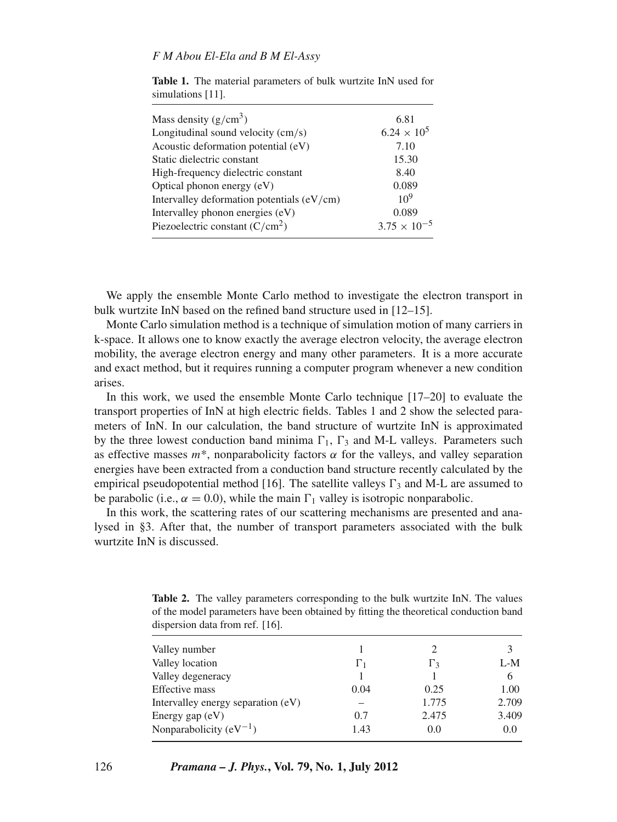| Mass density $(g/cm^3)$                    | 6.81                  |
|--------------------------------------------|-----------------------|
| Longitudinal sound velocity (cm/s)         | $6.24 \times 10^5$    |
| Acoustic deformation potential (eV)        | 7.10                  |
| Static dielectric constant                 | 15.30                 |
| High-frequency dielectric constant         | 8.40                  |
| Optical phonon energy (eV)                 | 0.089                 |
| Intervalley deformation potentials (eV/cm) | $10^{9}$              |
| Intervalley phonon energies (eV)           | 0.089                 |
| Piezoelectric constant $(C/cm2)$           | $3.75 \times 10^{-5}$ |
|                                            |                       |

**Table 1.** The material parameters of bulk wurtzite InN used for simulations [11].

We apply the ensemble Monte Carlo method to investigate the electron transport in bulk wurtzite InN based on the refined band structure used in [12–15].

Monte Carlo simulation method is a technique of simulation motion of many carriers in k-space. It allows one to know exactly the average electron velocity, the average electron mobility, the average electron energy and many other parameters. It is a more accurate and exact method, but it requires running a computer program whenever a new condition arises.

In this work, we used the ensemble Monte Carlo technique [17–20] to evaluate the transport properties of InN at high electric fields. Tables 1 and 2 show the selected parameters of InN. In our calculation, the band structure of wurtzite InN is approximated by the three lowest conduction band minima  $\Gamma_1$ ,  $\Gamma_3$  and M-L valleys. Parameters such as effective masses  $m^*$ , nonparabolicity factors  $\alpha$  for the valleys, and valley separation energies have been extracted from a conduction band structure recently calculated by the empirical pseudopotential method [16]. The satellite valleys  $\Gamma_3$  and M-L are assumed to be parabolic (i.e.,  $\alpha = 0.0$ ), while the main  $\Gamma_1$  valley is isotropic nonparabolic.

In this work, the scattering rates of our scattering mechanisms are presented and analysed in §3. After that, the number of transport parameters associated with the bulk wurtzite InN is discussed.

| <b>Table 2.</b> The valley parameters corresponding to the bulk wurtzite InN. The values |  |
|------------------------------------------------------------------------------------------|--|
| of the model parameters have been obtained by fitting the theoretical conduction band    |  |
| dispersion data from ref. [16].                                                          |  |

| Valley number                      |            |            |       |
|------------------------------------|------------|------------|-------|
| Valley location                    | $\Gamma_1$ | $\Gamma_3$ | L-M   |
| Valley degeneracy                  |            |            | 6     |
| Effective mass                     | 0.04       | 0.25       | 1.00  |
| Intervalley energy separation (eV) |            | 1.775      | 2.709 |
| Energy gap $(eV)$                  | 0.7        | 2.475      | 3.409 |
| Nonparabolicity $(eV^{-1})$        | 1.43       | 0.0        | 0.0   |
|                                    |            |            |       |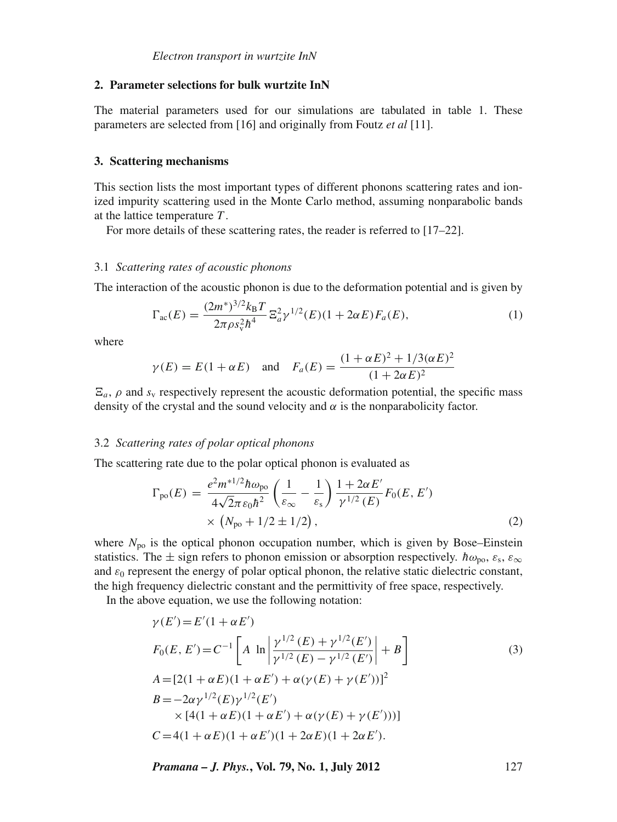#### **2. Parameter selections for bulk wurtzite InN**

The material parameters used for our simulations are tabulated in table 1. These parameters are selected from [16] and originally from Foutz *et al* [11].

#### **3. Scattering mechanisms**

This section lists the most important types of different phonons scattering rates and ionized impurity scattering used in the Monte Carlo method, assuming nonparabolic bands at the lattice temperature *T* .

For more details of these scattering rates, the reader is referred to [17–22].

#### 3.1 *Scattering rates of acoustic phonons*

The interaction of the acoustic phonon is due to the deformation potential and is given by

$$
\Gamma_{\rm ac}(E) = \frac{(2m^*)^{3/2} k_B T}{2\pi \rho s_v^2 h^4} \Xi_a^2 \gamma^{1/2}(E) (1 + 2\alpha E) F_a(E), \tag{1}
$$

where

$$
\gamma(E) = E(1 + \alpha E)
$$
 and  $F_a(E) = \frac{(1 + \alpha E)^2 + 1/3(\alpha E)^2}{(1 + 2\alpha E)^2}$ 

 $E_a$ ,  $\rho$  and  $s_y$  respectively represent the acoustic deformation potential, the specific mass density of the crystal and the sound velocity and  $\alpha$  is the nonparabolicity factor.

#### 3.2 *Scattering rates of polar optical phonons*

The scattering rate due to the polar optical phonon is evaluated as

$$
\Gamma_{\text{po}}(E) = \frac{e^2 m^{*1/2} \hbar \omega_{\text{po}}}{4\sqrt{2\pi \varepsilon_0 \hbar^2}} \left(\frac{1}{\varepsilon_{\infty}} - \frac{1}{\varepsilon_s}\right) \frac{1 + 2\alpha E'}{\gamma^{1/2} (E)} F_0(E, E') \times \left(N_{\text{po}} + 1/2 \pm 1/2\right),
$$
\n(2)

where  $N_{\text{po}}$  is the optical phonon occupation number, which is given by Bose–Einstein statistics. The  $\pm$  sign refers to phonon emission or absorption respectively. *h* $\omega_{\rm{no}}$ ,  $\varepsilon_{\rm{s}}$ ,  $\varepsilon_{\infty}$ and  $\varepsilon_0$  represent the energy of polar optical phonon, the relative static dielectric constant, the high frequency dielectric constant and the permittivity of free space, respectively.

In the above equation, we use the following notation:

$$
\gamma(E') = E'(1 + \alpha E')
$$
  
\n
$$
F_0(E, E') = C^{-1} \left[ A \ln \left| \frac{\gamma^{1/2}(E) + \gamma^{1/2}(E')}{\gamma^{1/2}(E) - \gamma^{1/2}(E')} \right| + B \right]
$$
  
\n
$$
A = [2(1 + \alpha E)(1 + \alpha E') + \alpha(\gamma(E) + \gamma(E'))]^2
$$
  
\n
$$
B = -2\alpha \gamma^{1/2}(E) \gamma^{1/2}(E')
$$
  
\n
$$
\times [4(1 + \alpha E)(1 + \alpha E') + \alpha(\gamma(E) + \gamma(E')))]
$$
  
\n
$$
C = 4(1 + \alpha E)(1 + \alpha E')(1 + 2\alpha E)(1 + 2\alpha E').
$$
  
\n(3)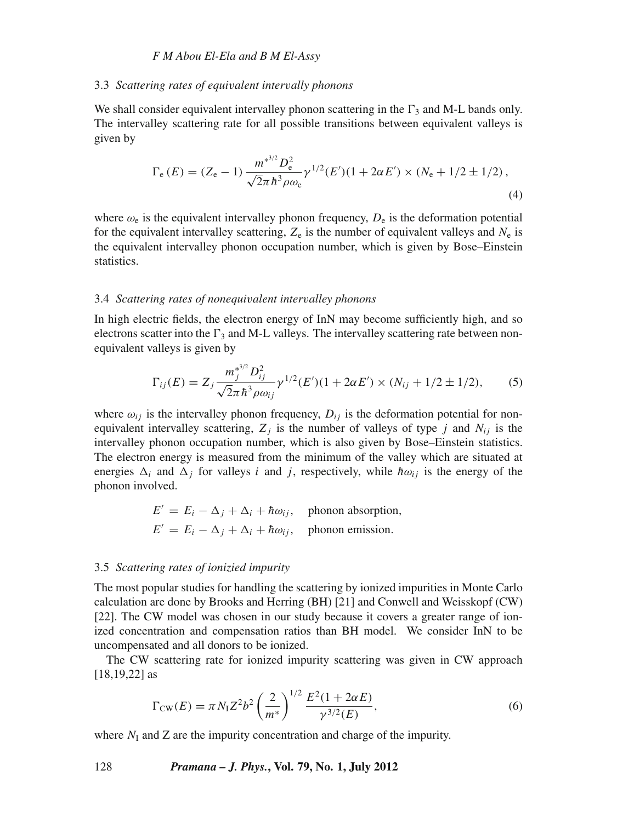#### 3.3 *Scattering rates of equi*v*alent inter*v*ally phonons*

We shall consider equivalent intervalley phonon scattering in the  $\Gamma_3$  and M-L bands only. The intervalley scattering rate for all possible transitions between equivalent valleys is given by

$$
\Gamma_{\rm e}(E) = (Z_{\rm e} - 1) \frac{m^{*^{3/2}} D_{\rm e}^2}{\sqrt{2\pi} \hbar^3 \rho \omega_{\rm e}} \gamma^{1/2} (E')(1 + 2\alpha E') \times (N_{\rm e} + 1/2 \pm 1/2) , \tag{4}
$$

where  $\omega_e$  is the equivalent intervalley phonon frequency,  $D_e$  is the deformation potential for the equivalent intervalley scattering,  $Z_e$  is the number of equivalent valleys and  $N_e$  is the equivalent intervalley phonon occupation number, which is given by Bose–Einstein statistics.

#### 3.4 *Scattering rates of nonequi*v*alent inter*v*alley phonons*

In high electric fields, the electron energy of InN may become sufficiently high, and so electrons scatter into the  $\Gamma_3$  and M-L valleys. The intervalley scattering rate between nonequivalent valleys is given by

$$
\Gamma_{ij}(E) = Z_j \frac{m_j^{*^{3/2}} D_{ij}^2}{\sqrt{2\pi} \hbar^3 \rho \omega_{ij}} \gamma^{1/2}(E')(1 + 2\alpha E') \times (N_{ij} + 1/2 \pm 1/2), \tag{5}
$$

where  $\omega_{ij}$  is the intervalley phonon frequency,  $D_{ij}$  is the deformation potential for nonequivalent intervalley scattering,  $Z_i$  is the number of valleys of type *j* and  $N_{ii}$  is the intervalley phonon occupation number, which is also given by Bose–Einstein statistics. The electron energy is measured from the minimum of the valley which are situated at energies  $\Delta_i$  and  $\Delta_j$  for valleys *i* and *j*, respectively, while  $\hbar \omega_{ij}$  is the energy of the phonon involved.

$$
E' = E_i - \Delta_j + \Delta_i + \hbar \omega_{ij}, \text{ phonon absorption,}
$$
  

$$
E' = E_i - \Delta_j + \Delta_i + \hbar \omega_{ij}, \text{phonon emission.}
$$

# 3.5 *Scattering rates of ionizied impurity*

The most popular studies for handling the scattering by ionized impurities in Monte Carlo calculation are done by Brooks and Herring (BH) [21] and Conwell and Weisskopf (CW) [22]. The CW model was chosen in our study because it covers a greater range of ionized concentration and compensation ratios than BH model. We consider InN to be uncompensated and all donors to be ionized.

The CW scattering rate for ionized impurity scattering was given in CW approach [18,19,22] as

$$
\Gamma_{\text{CW}}(E) = \pi N_1 Z^2 b^2 \left(\frac{2}{m^*}\right)^{1/2} \frac{E^2 (1 + 2\alpha E)}{\gamma^{3/2}(E)},\tag{6}
$$

where  $N_I$  and  $Z$  are the impurity concentration and charge of the impurity.

128 *Pramana – J. Phys.***, Vol. 79, No. 1, July 2012**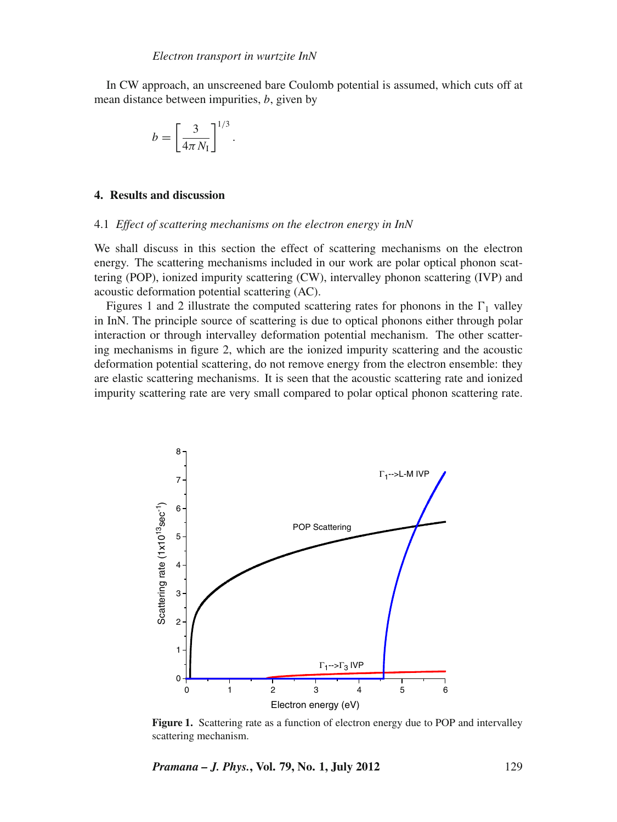.

In CW approach, an unscreened bare Coulomb potential is assumed, which cuts off at mean distance between impurities, *b*, given by

$$
b = \left[\frac{3}{4\pi N_{\rm I}}\right]^{1/3}
$$

#### **4. Results and discussion**

#### 4.1 *Effect of scattering mechanisms on the electron energy in InN*

We shall discuss in this section the effect of scattering mechanisms on the electron energy. The scattering mechanisms included in our work are polar optical phonon scattering (POP), ionized impurity scattering (CW), intervalley phonon scattering (IVP) and acoustic deformation potential scattering (AC).

Figures 1 and 2 illustrate the computed scattering rates for phonons in the  $\Gamma_1$  valley in InN. The principle source of scattering is due to optical phonons either through polar interaction or through intervalley deformation potential mechanism. The other scattering mechanisms in figure 2, which are the ionized impurity scattering and the acoustic deformation potential scattering, do not remove energy from the electron ensemble: they are elastic scattering mechanisms. It is seen that the acoustic scattering rate and ionized impurity scattering rate are very small compared to polar optical phonon scattering rate.



Figure 1. Scattering rate as a function of electron energy due to POP and intervalley scattering mechanism.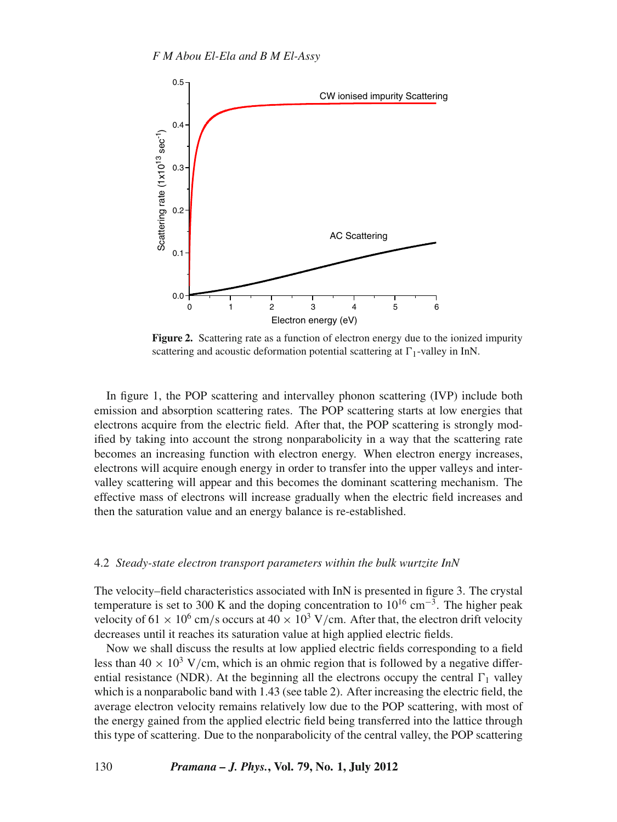

**Figure 2.** Scattering rate as a function of electron energy due to the ionized impurity scattering and acoustic deformation potential scattering at  $\Gamma_1$ -valley in InN.

In figure 1, the POP scattering and intervalley phonon scattering (IVP) include both emission and absorption scattering rates. The POP scattering starts at low energies that electrons acquire from the electric field. After that, the POP scattering is strongly modified by taking into account the strong nonparabolicity in a way that the scattering rate becomes an increasing function with electron energy. When electron energy increases, electrons will acquire enough energy in order to transfer into the upper valleys and intervalley scattering will appear and this becomes the dominant scattering mechanism. The effective mass of electrons will increase gradually when the electric field increases and then the saturation value and an energy balance is re-established.

#### 4.2 *Steady-state electron transport parameters within the bulk wurtzite InN*

The velocity–field characteristics associated with InN is presented in figure 3. The crystal temperature is set to 300 K and the doping concentration to  $10^{16}$  cm<sup>-3</sup>. The higher peak velocity of 61  $\times$  10<sup>6</sup> cm/s occurs at 40  $\times$  10<sup>3</sup> V/cm. After that, the electron drift velocity decreases until it reaches its saturation value at high applied electric fields.

Now we shall discuss the results at low applied electric fields corresponding to a field less than  $40 \times 10^3$  V/cm, which is an ohmic region that is followed by a negative differential resistance (NDR). At the beginning all the electrons occupy the central  $\Gamma_1$  valley which is a nonparabolic band with 1.43 (see table 2). After increasing the electric field, the average electron velocity remains relatively low due to the POP scattering, with most of the energy gained from the applied electric field being transferred into the lattice through this type of scattering. Due to the nonparabolicity of the central valley, the POP scattering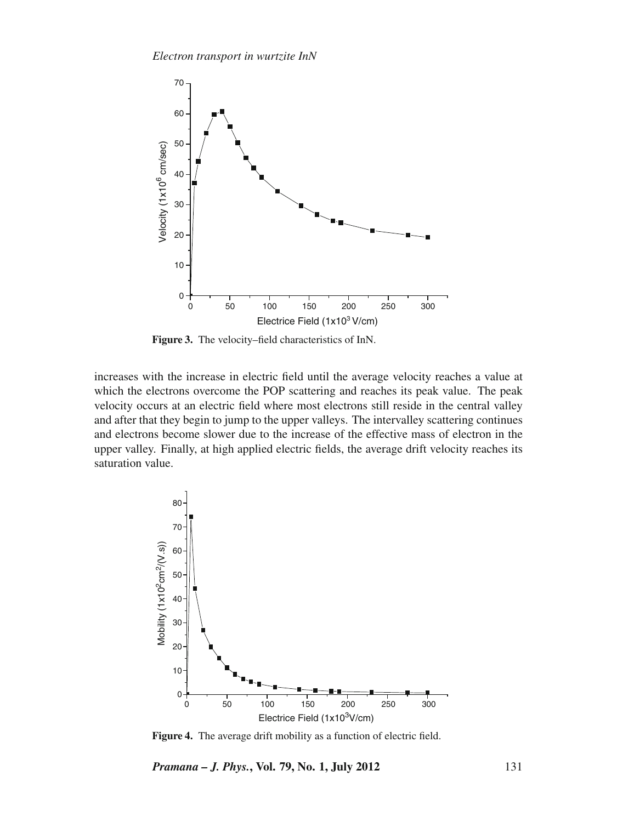

**Figure 3.** The velocity–field characteristics of InN.

increases with the increase in electric field until the average velocity reaches a value at which the electrons overcome the POP scattering and reaches its peak value. The peak velocity occurs at an electric field where most electrons still reside in the central valley and after that they begin to jump to the upper valleys. The intervalley scattering continues and electrons become slower due to the increase of the effective mass of electron in the upper valley. Finally, at high applied electric fields, the average drift velocity reaches its saturation value.



**Figure 4.** The average drift mobility as a function of electric field.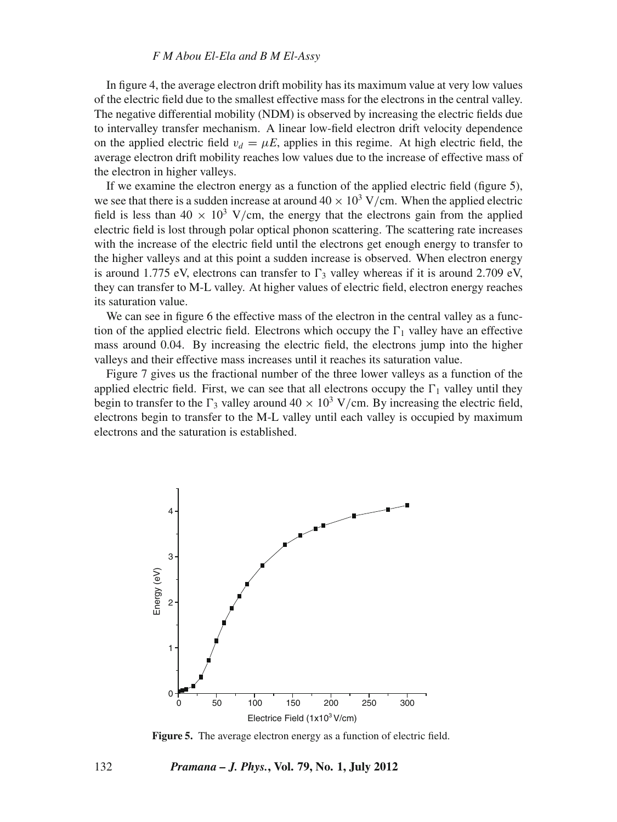In figure 4, the average electron drift mobility has its maximum value at very low values of the electric field due to the smallest effective mass for the electrons in the central valley. The negative differential mobility (NDM) is observed by increasing the electric fields due to intervalley transfer mechanism. A linear low-field electron drift velocity dependence on the applied electric field  $v_d = \mu E$ , applies in this regime. At high electric field, the average electron drift mobility reaches low values due to the increase of effective mass of the electron in higher valleys.

If we examine the electron energy as a function of the applied electric field (figure 5), we see that there is a sudden increase at around  $40 \times 10^3$  V/cm. When the applied electric field is less than  $40 \times 10^3$  V/cm, the energy that the electrons gain from the applied electric field is lost through polar optical phonon scattering. The scattering rate increases with the increase of the electric field until the electrons get enough energy to transfer to the higher valleys and at this point a sudden increase is observed. When electron energy is around 1.775 eV, electrons can transfer to  $\Gamma_3$  valley whereas if it is around 2.709 eV, they can transfer to M-L valley. At higher values of electric field, electron energy reaches its saturation value.

We can see in figure 6 the effective mass of the electron in the central valley as a function of the applied electric field. Electrons which occupy the  $\Gamma_1$  valley have an effective mass around 0.04. By increasing the electric field, the electrons jump into the higher valleys and their effective mass increases until it reaches its saturation value.

Figure 7 gives us the fractional number of the three lower valleys as a function of the applied electric field. First, we can see that all electrons occupy the  $\Gamma_1$  valley until they begin to transfer to the  $\Gamma_3$  valley around  $40 \times 10^3$  V/cm. By increasing the electric field, electrons begin to transfer to the M-L valley until each valley is occupied by maximum electrons and the saturation is established.



**Figure 5.** The average electron energy as a function of electric field.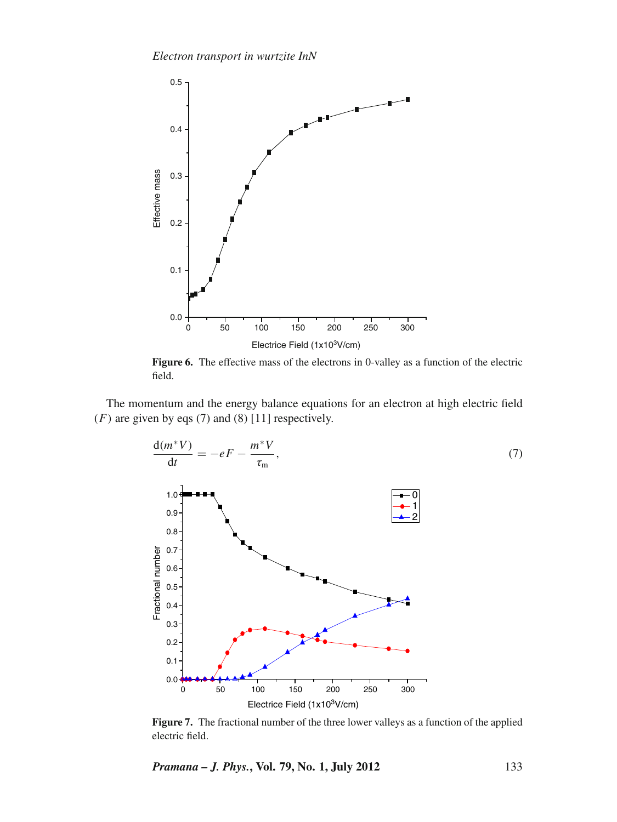

Figure 6. The effective mass of the electrons in 0-valley as a function of the electric field.

The momentum and the energy balance equations for an electron at high electric field  $(F)$  are given by eqs (7) and (8) [11] respectively.



**Figure 7.** The fractional number of the three lower valleys as a function of the applied electric field.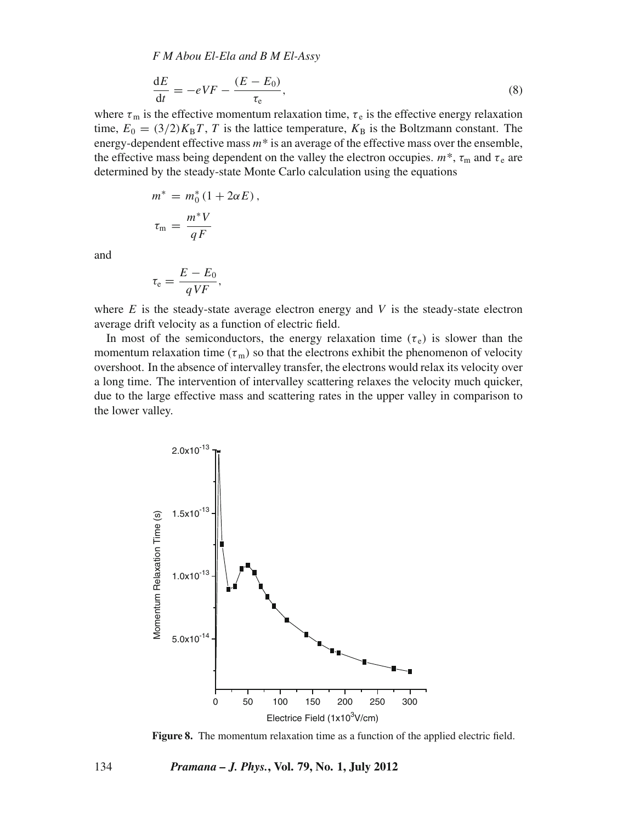$$
\frac{\mathrm{d}E}{\mathrm{d}t} = -eVF - \frac{(E - E_0)}{\tau_e},\tag{8}
$$

where  $\tau_m$  is the effective momentum relaxation time,  $\tau_e$  is the effective energy relaxation time,  $E_0 = (3/2)K_B T$ , *T* is the lattice temperature,  $K_B$  is the Boltzmann constant. The energy-dependent effective mass *m*\* is an average of the effective mass over the ensemble, the effective mass being dependent on the valley the electron occupies.  $m^*$ ,  $\tau_m$  and  $\tau_e$  are determined by the steady-state Monte Carlo calculation using the equations

$$
m^* = m_0^*(1 + 2\alpha E),
$$
  

$$
\tau_m = \frac{m^*V}{qF}
$$

and

$$
\tau_{\rm e} = \frac{E - E_0}{qV F},
$$

where  $E$  is the steady-state average electron energy and  $V$  is the steady-state electron average drift velocity as a function of electric field.

In most of the semiconductors, the energy relaxation time  $(\tau_e)$  is slower than the momentum relaxation time ( $\tau$ <sub>m</sub>) so that the electrons exhibit the phenomenon of velocity overshoot. In the absence of intervalley transfer, the electrons would relax its velocity over a long time. The intervention of intervalley scattering relaxes the velocity much quicker, due to the large effective mass and scattering rates in the upper valley in comparison to the lower valley.



**Figure 8.** The momentum relaxation time as a function of the applied electric field.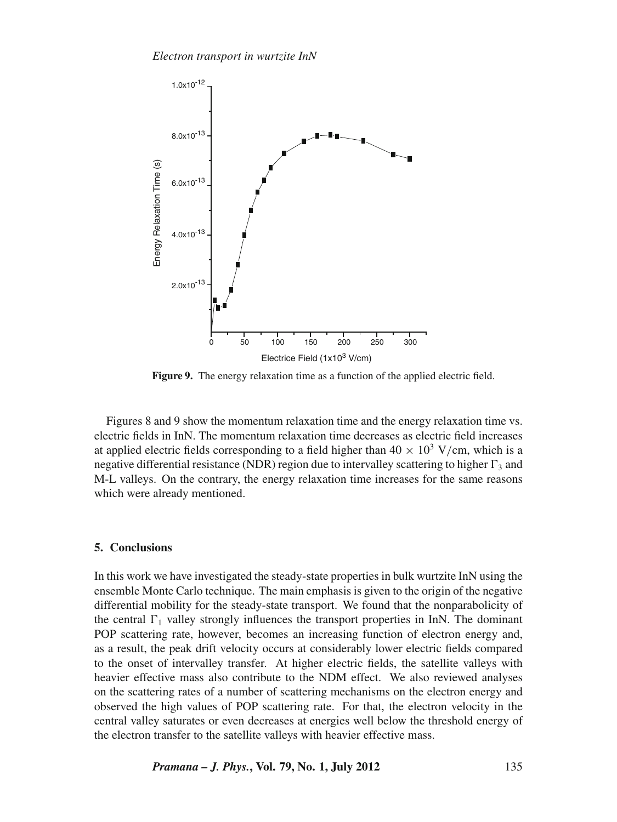

**Figure 9.** The energy relaxation time as a function of the applied electric field.

Figures 8 and 9 show the momentum relaxation time and the energy relaxation time vs. electric fields in InN. The momentum relaxation time decreases as electric field increases at applied electric fields corresponding to a field higher than  $40 \times 10^3$  V/cm, which is a negative differential resistance (NDR) region due to intervalley scattering to higher  $\Gamma_3$  and M-L valleys. On the contrary, the energy relaxation time increases for the same reasons which were already mentioned.

#### **5. Conclusions**

In this work we have investigated the steady-state properties in bulk wurtzite InN using the ensemble Monte Carlo technique. The main emphasis is given to the origin of the negative differential mobility for the steady-state transport. We found that the nonparabolicity of the central  $\Gamma_1$  valley strongly influences the transport properties in InN. The dominant POP scattering rate, however, becomes an increasing function of electron energy and, as a result, the peak drift velocity occurs at considerably lower electric fields compared to the onset of intervalley transfer. At higher electric fields, the satellite valleys with heavier effective mass also contribute to the NDM effect. We also reviewed analyses on the scattering rates of a number of scattering mechanisms on the electron energy and observed the high values of POP scattering rate. For that, the electron velocity in the central valley saturates or even decreases at energies well below the threshold energy of the electron transfer to the satellite valleys with heavier effective mass.